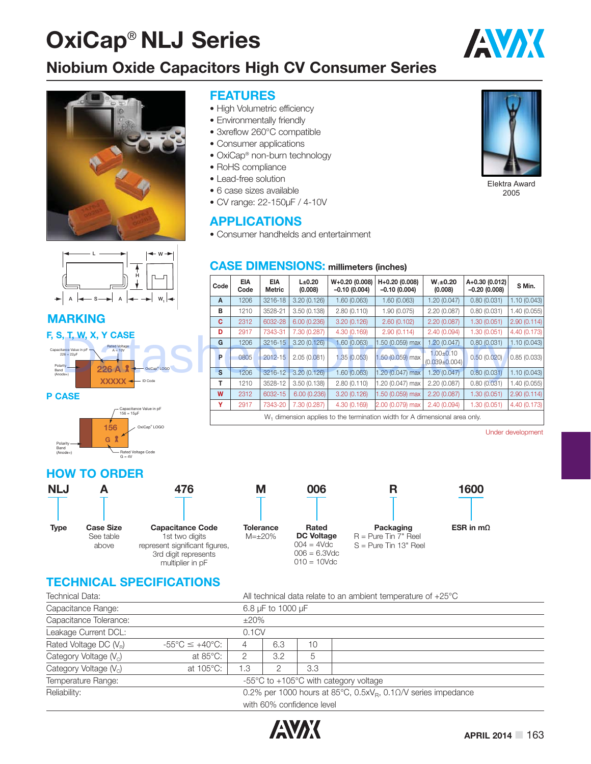# **OxiCap**® **NLJ Series**

### **Niobium Oxide Capacitors High CV Consumer Series**

**FEATURES**

• RoHS compliance • Lead-free solution • 6 case sizes available • CV range: 22-150μF / 4-10V

**APPLICATIONS**

• High Volumetric efficiency • Environmentally friendly • 3xreflow 260°C compatible • Consumer applications • OxiCap<sup>®</sup> non-burn technology





#### **MARKING**

#### **F, S, T, W, X, Y CASE**



#### **P CASE**



#### **HOW TO ORDER**



#### **Capacitance Code** represent significant figures, multiplier in pF

# **M**

**Tolerance** M=±20% **DC Voltage**  $004 = 4Vdc$  $006 = 6.3$ Vdc  $010 = 10$ Vdc



**006**

**Rated** 

#### **Packaging** R = Pure Tin 7" Reel S = Pure Tin 13" Reel

**R**



## **TECHNICAL SPECIFICATIONS**

| Technical Data:                    | All technical data relate to an ambient temperature of $+25^{\circ}$ C                        |            |     |                           |                                                           |  |  |  |  |
|------------------------------------|-----------------------------------------------------------------------------------------------|------------|-----|---------------------------|-----------------------------------------------------------|--|--|--|--|
| Capacitance Range:                 | 6.8 µF to 1000 µF                                                                             |            |     |                           |                                                           |  |  |  |  |
| Capacitance Tolerance:             |                                                                                               | $\pm 20\%$ |     |                           |                                                           |  |  |  |  |
| Leakage Current DCL:               |                                                                                               | 0.1CV      |     |                           |                                                           |  |  |  |  |
| Rated Voltage DC $(V_R)$           | $-55^{\circ}$ C $\leq +40^{\circ}$ C:                                                         | 4          | 6.3 | 10                        |                                                           |  |  |  |  |
| Category Voltage (V <sub>c</sub> ) | at $85^{\circ}$ C:                                                                            | 2          | 3.2 | 5                         |                                                           |  |  |  |  |
| Category Voltage $(Vc)$            | at $105^{\circ}$ C:                                                                           | 1.3        |     | 3.3                       |                                                           |  |  |  |  |
| Temperature Range:                 |                                                                                               |            |     |                           | $-55^{\circ}$ C to $+105^{\circ}$ C with category voltage |  |  |  |  |
| Reliability:                       | 0.2% per 1000 hours at 85 $^{\circ}$ C, 0.5xV <sub>B</sub> , 0.1 $\Omega$ /V series impedance |            |     |                           |                                                           |  |  |  |  |
|                                    |                                                                                               |            |     | with 60% confidence level |                                                           |  |  |  |  |





AVX

Elektra Award 2005

#### **CASE DIMENSIONS: millimeters (inches)**

• Consumer handhelds and entertainment

| н                                                         |      |                    |                             |                   |                                  |                                                                                        |                                      |                                  |              |  |
|-----------------------------------------------------------|------|--------------------|-----------------------------|-------------------|----------------------------------|----------------------------------------------------------------------------------------|--------------------------------------|----------------------------------|--------------|--|
|                                                           | Code | <b>EIA</b><br>Code | <b>EIA</b><br><b>Metric</b> | L±0.20<br>(0.008) | W+0.20 (0.008)<br>$-0.10(0.004)$ | H+0.20 (0.008)<br>$-0.10(0.004)$                                                       | $W_1 \pm 0.20$<br>(0.008)            | A+0.30 (0.012)<br>$-0.20(0.008)$ | S Min.       |  |
| W.<br>A<br>ਢ<br>А                                         | A    | 1206               | 3216-18                     | 3.20(0.126)       | 1.60 (0.063)                     | 1.60(0.063)                                                                            | 1.20 (0.047)                         | 0.80(0.031)                      | 1.10(0.043)  |  |
| <b>ARKING</b>                                             |      | 1210               | 3528-21                     | 3.50(0.138)       | 2.80(0.110)                      | 1.90 (0.075)                                                                           | 2.20(0.087)                          | 0.80(0.031)                      | 1.40 (0.055) |  |
|                                                           |      | 2312               | 6032-28                     | 6.00 (0.236)      | 3.20(0.126)                      | 2.60(0.102)                                                                            | 2.20(0.087)                          | 1.30 (0.051)                     | 2.90(0.114)  |  |
| , T, W, X, Y CASE                                         |      | 2917               | 7343-31                     | 7.30 (0.287)      | 4.30 (0.169)                     | 2.90(0.114)                                                                            | 2.40(0.094)                          | 1.30 (0.051)                     | 4.40 (0.173) |  |
| <b>Rated Voltage</b>                                      | G    | 1206               | 3216-15                     | 3.20(0.126)       | 1.60(0.063)                      | 1.50 (0.059) max                                                                       | 1.20(0.047)                          | 0.80(0.031)                      | 1.10(0.043)  |  |
| tance Value in pF<br>$A = 10V$<br>$26 = 22uF$<br>rity ___ | P    | 0805               | $2012 - 15$                 | 2.05(0.081)       | 1.35(0.053)                      | 1.50 (0.059) max                                                                       | $1.00 + 0.10$<br>$(0.039 \pm 0.004)$ | 0.50(0.020)                      | 0.85(0.033)  |  |
| 226A<br>OxiCap <sup>®</sup> LOGO<br>$de+)$                | S    | 1206               | 3216-12                     | 3.20 (0.126)      | 1.60(0.063)                      | 1.20 (0.047) max                                                                       | 1.20(0.047)                          | 0.80(0.031)                      | 1.10 (0.043) |  |
| XXXXX - ID Code                                           | Т    | 1210               | 3528-12                     | 3.50 (0.138)      | 2.80 (0.110)                     | 1.20 (0.047) max                                                                       | 2.20(0.087)                          | 0.80(0.031)                      | .40(0.055)   |  |
| <b>ASE</b>                                                | W    | 2312               | 6032-15                     | 6.00(0.236)       | 3.20(0.126)                      | 1.50 (0.059) max                                                                       | 2.20(0.087)                          | 1.30 (0.051)                     | 2.90(0.114)  |  |
| Capacitance Value in pF                                   | ۷    | 2917               | 7343-20                     | 7.30 (0.287)      | 4.30 (0.169)                     | 2.00 (0.079) max                                                                       | 2.40(0.094)                          | 1.30 (0.051)                     | 4.40 (0.173) |  |
| $156 = 15 \text{uF}$                                      |      |                    |                             |                   |                                  | W <sub>1</sub> dimension applies to the termination width for A dimensional area only. |                                      |                                  |              |  |

Under development

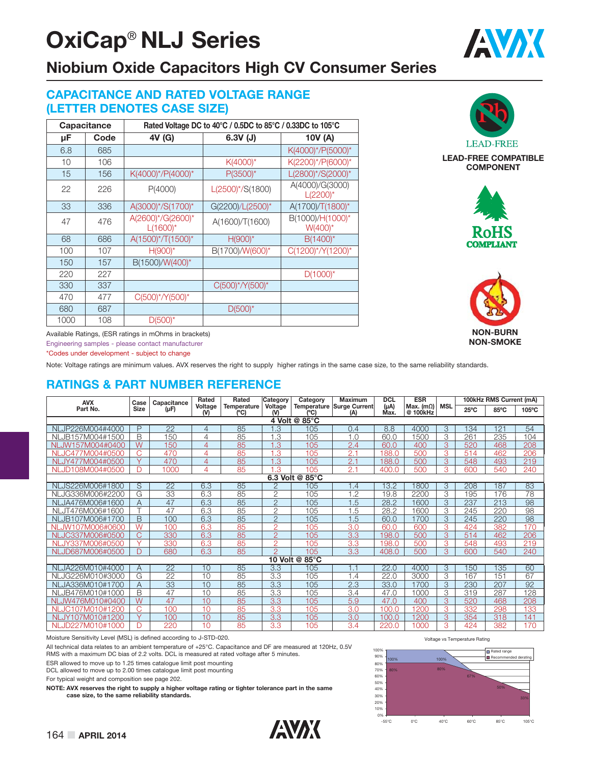# **OxiCap**® **NLJ Series**



#### **CAPACITANCE AND RATED VOLTAGE RANGE (LETTER DENOTES CASE SIZE)**

|      | Capacitance |                                  | Rated Voltage DC to 40°C / 0.5DC to 85°C / 0.33DC to 105°C |                                |
|------|-------------|----------------------------------|------------------------------------------------------------|--------------------------------|
| μF   | Code        | 4V (G)                           | $6.3V$ (J)                                                 | 10V (A)                        |
| 6.8  | 685         |                                  |                                                            | K(4000)*/P(5000)*              |
| 10   | 106         |                                  | $K(4000)^*$                                                | K(2200)*/P(6000)*              |
| 15   | 156         | K(4000)*/P(4000)*                | $P(3500)^*$                                                | L(2800)*/S(2000)*              |
| 22   | 226         | P(4000)                          | $L(2500)^*/S(1800)$                                        | A(4000)/G(3000)<br>$L(2200)^*$ |
| 33   | 336         | A(3000)*/S(1700)*                | G(2200)/L(2500)*                                           | A(1700)/T(1800)*               |
| 47   | 476         | A(2600)*/G(2600)*<br>$L(1600)^*$ | A(1600)/T(1600)                                            | B(1000)/H(1000)*<br>$W(400)^*$ |
| 68   | 686         | A(1500)*/T(1500)*                | $H(900)^*$                                                 | $B(1400)^*$                    |
| 100  | 107         | $H(900)^*$                       | B(1700)/W(600)*                                            | C(1200)*/Y(1200)*              |
| 150  | 157         | B(1500)/W(400)*                  |                                                            |                                |
| 220  | 227         |                                  |                                                            | $D(1000)^*$                    |
| 330  | 337         |                                  | $C(500)^*/Y(500)^*$                                        |                                |
| 470  | 477         | C(500)*/Y(500)*                  |                                                            |                                |
| 680  | 687         |                                  | $D(500)^*$                                                 |                                |
| 1000 | 108         | $D(500)^*$                       |                                                            |                                |



AVX

**LEAD-FREE COMPATIBLE COMPONENT**





Available Ratings, (ESR ratings in mOhms in brackets)

Engineering samples - please contact manufacturer

\*Codes under development - subject to change

Note: Voltage ratings are minimum values. AVX reserves the right to supply higher ratings in the same case size, to the same reliability standards.

#### **RATINGS & PART NUMBER REFERENCE**

| <b>AVX</b>                       | Case              | Capacitance     | Rated        | Rated               | Category<br>Category | <b>Maximum</b> | <b>DCL</b>                              | <b>ESR</b>              |                              | 100kHz RMS Current (mA)  |                |      |       |
|----------------------------------|-------------------|-----------------|--------------|---------------------|----------------------|----------------|-----------------------------------------|-------------------------|------------------------------|--------------------------|----------------|------|-------|
| Part No.                         | Size              | $(\mu F)$       | Voltage<br>൜ | Temperature<br>(°C) | Voltage<br>൜         | (°C            | <b>Temperature Surge Current</b><br>(A) | $(\mu A)$<br><b>Max</b> | Max. $(m\Omega)$<br>@ 100kHz | <b>MSL</b>               | $25^{\circ}$ C | 85°C | 105°C |
| 4 Volt @ 85°C                    |                   |                 |              |                     |                      |                |                                         |                         |                              |                          |                |      |       |
| JP226M004#4000<br>N <sub>l</sub> | P                 | $\overline{22}$ | 4            | 85                  | L.3                  | 105            | 0.4                                     | 8.8                     | 4000                         | $\overline{3}$           | 134            | 121  | 54    |
| NLJB157M004#1500                 | B                 | 150             | 4            | 85                  | 1.3                  | 105            | 1.0                                     | 60.0                    | 1500                         | 3                        | 261            | 235  | 104   |
| NLJW157M004#0400                 | $\overline{W}$    | 150             | 4            | 85                  | 1.3                  | 105            | 2.4                                     | 60.0                    | 400                          | 3                        | 520            | 468  | 208   |
| JC477M004#0500<br><b>NI</b>      | C                 | 470             | 4            | 85                  | 1.3                  | 105            | 2.1                                     | 188.0                   | 500                          | 3                        | 514            | 462  | 206   |
| NLJY477M004#0500                 | $\vee$            | 470             | 4            | 85                  | 1.3                  | 105            | 2.1                                     | 188.0                   | 500                          | 3                        | 548            | 493  | 219   |
| NLJD108M004#0500                 | D                 | 1000            | 4            | 85                  | .3                   | 105            | 2.1                                     | 400.0                   | 500                          | 3                        | 600            | 540  | 240   |
| 6.3 Volt @<br>$85^{\circ}$ C     |                   |                 |              |                     |                      |                |                                         |                         |                              |                          |                |      |       |
| NLJS226M006#1800                 | S                 | 22              | 6.3          | 85                  | $\overline{2}$       | 105            | .4                                      | 13.2                    | 1800                         | 3                        | 208            | 187  | 83    |
| NLJG336M006#2200                 | G                 | 33              | 6.3          | 85                  | $\mathbf{2}$         | 105            | 1.2                                     | 19.8                    | 2200                         | 3                        | 195            | 176  | 78    |
| NLJA476M006#1600                 | A                 | 47              | 6.3          | 85                  | $\overline{2}$       | 105            | 1.5                                     | 28.2                    | 1600                         | 3                        | 237            | 213  | 98    |
| NLJT476M006#1600                 |                   | 47              | 6.3          | 85                  | $\overline{2}$       | 105            | .5                                      | 28.2                    | 1600                         | 3                        | 245            | 220  | 98    |
| NLJB107M006#1700                 | B                 | 100             | 6.3          | 85                  | $\overline{2}$       | 105            | 1.5                                     | 60.0                    | 1700                         | 3                        | 245            | 220  | 98    |
| NLJW107M006#0600                 | W                 | 100             | 6.3          | 85                  | $\overline{2}$       | 105            | 3.0                                     | 60.0                    | 600                          | 3                        | 424            | 382  | 170   |
| NLJC337M006#0500                 | C.                | 330             | 6.3          | 85                  | $\overline{2}$       | 105            | 3.3                                     | 198.0                   | 500                          | 3                        | 514            | 462  | 206   |
| NLJY337M006#0500                 | $\checkmark$      | 330             | 6.3          | 85                  | $\overline{2}$       | 105            | 3.3                                     | 198.0                   | 500                          | 3                        | 548            | 493  | 219   |
| NLJD687M006#0500                 | D                 | 680             | 6.3          | 85                  | $\overline{2}$       | 105            | 3.3                                     | 408.0                   | 500                          | 3                        | 600            | 540  | 240   |
|                                  |                   |                 |              |                     |                      | 10 Volt @ 85°C |                                         |                         |                              |                          |                |      |       |
| NLJA226M010#4000                 | Α                 | $\overline{22}$ | 10           | 85                  | $\overline{3.3}$     | 105            | 1.1                                     | 22.0                    | 4000                         | $\overline{\mathcal{S}}$ | 150            | 135  | 60    |
| NLJG226M010#3000                 | G                 | 22              | 10           | 85                  | 3.3                  | 105            | 1.4                                     | 22.0                    | 3000                         | 3                        | 167            | 151  | 67    |
| NLJA336M010#1700                 | A                 | 33              | 10           | 85                  | 3.3                  | 105            | 2.3                                     | 33.0                    | 1700                         | 3                        | 230            | 207  | 92    |
| NLJB476M010#1000                 | B                 | 47              | 10           | 85                  | 3.3                  | 105            | 3.4                                     | 47.0                    | 1000                         | $\overline{3}$           | 319            | 287  | 128   |
| NLJW476M010#0400                 | W                 | 47              | 10           | 85                  | 3.3                  | 105            | 5.9                                     | 47.0                    | 400                          | 3                        | 520            | 468  | 208   |
| JC107M010#1200<br>NI.            | Ć                 | 100             | 10           | 85                  | 3.3                  | 105            | 3.0                                     | 100.0                   | 1200                         | 3                        | 332            | 298  | 133   |
| IY107M010#1200<br><b>NI</b>      | $\overline{\vee}$ | 100             | 10           | 85                  | 3.3                  | 105            | 3.0                                     | 100.0                   | 1200                         | 3                        | 354            | 318  | 141   |
| NLJD227M010#1000                 | n                 | 220             | 10           | 85                  | 3.3                  | 105            | 3.4                                     | 220.0                   | 1000                         | З                        | 424            | 382  | 170   |

Moisture Sensitivity Level (MSL) is defined according to J-STD-020.

All technical data relates to an ambient temperature of +25°C. Capacitance and DF are measured at 120Hz, 0.5V

RMS with a maximum DC bias of 2.2 volts. DCL is measured at rated voltage after 5 minutes.

ESR allowed to move up to 1.25 times catalogue limit post mounting DCL allowed to move up to 2.00 times catalogue limit post mounting

For typical weight and composition see page 202.

**NOTE: AVX reserves the right to supply a higher voltage rating or tighter tolerance part in the same case size, to the same reliability standards.**



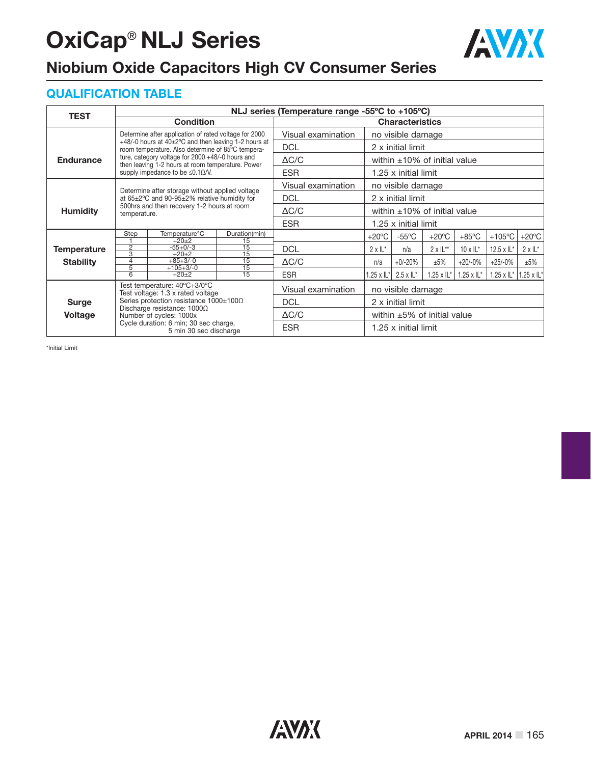# **OxiCap**® **NLJ Series**



### **Niobium Oxide Capacitors High CV Consumer Series**

#### **QUALIFICATION TABLE**

| <b>TEST</b>                                                                                       | NLJ series (Temperature range -55°C to +105°C)                 |                                                                                                                        |                                          |                        |                                   |                                    |                   |                  |                                               |                   |  |  |
|---------------------------------------------------------------------------------------------------|----------------------------------------------------------------|------------------------------------------------------------------------------------------------------------------------|------------------------------------------|------------------------|-----------------------------------|------------------------------------|-------------------|------------------|-----------------------------------------------|-------------------|--|--|
|                                                                                                   |                                                                | <b>Condition</b>                                                                                                       |                                          | <b>Characteristics</b> |                                   |                                    |                   |                  |                                               |                   |  |  |
|                                                                                                   |                                                                | Determine after application of rated voltage for 2000                                                                  |                                          | Visual examination     | no visible damage                 |                                    |                   |                  |                                               |                   |  |  |
|                                                                                                   |                                                                | $+48/-0$ hours at $40\pm2\degree$ C and then leaving 1-2 hours at<br>room temperature. Also determine of 85°C tempera- | <b>DCL</b>                               |                        | 2 x initial limit                 |                                    |                   |                  |                                               |                   |  |  |
| ture, category voltage for 2000 +48/-0 hours and<br><b>Endurance</b>                              |                                                                |                                                                                                                        |                                          | $\Delta C/C$           |                                   | within $\pm 10\%$ of initial value |                   |                  |                                               |                   |  |  |
| then leaving 1-2 hours at room temperature. Power<br>supply impedance to be $\leq 0.1 \Omega/N$ . |                                                                |                                                                                                                        |                                          | <b>ESR</b>             |                                   | 1.25 x initial limit               |                   |                  |                                               |                   |  |  |
|                                                                                                   |                                                                | Determine after storage without applied voltage                                                                        |                                          | Visual examination     |                                   | no visible damage                  |                   |                  |                                               |                   |  |  |
|                                                                                                   |                                                                | at 65±2°C and 90-95±2% relative humidity for                                                                           | <b>DCL</b>                               |                        | 2 x initial limit                 |                                    |                   |                  |                                               |                   |  |  |
| <b>Humidity</b>                                                                                   | temperature.                                                   | 500hrs and then recovery 1-2 hours at room                                                                             |                                          | $\Delta C/C$           |                                   | within $\pm 10\%$ of initial value |                   |                  |                                               |                   |  |  |
|                                                                                                   |                                                                |                                                                                                                        |                                          | <b>ESR</b>             |                                   | 1.25 x initial limit               |                   |                  |                                               |                   |  |  |
|                                                                                                   | Temperature <sup>°</sup> C<br>Duration(min)<br>Step<br>$+20+2$ |                                                                                                                        |                                          | $+20^{\circ}$ C        | $-55^{\circ}$ C                   | $+20^{\circ}$ C                    | $+85^{\circ}$ C   | $+105^{\circ}$ C | $+20^{\circ}$ C                               |                   |  |  |
| <b>Temperature</b>                                                                                | $\overline{2}$<br>$\overline{3}$                               | $-55+0/-3$<br>$+20+2$                                                                                                  | 15<br>$\overline{15}$<br>$\overline{15}$ | <b>DCL</b>             | $2 \times 11^{*}$                 | n/a                                | $2 \times 11**$   | $10 \times 1$ L* | 12.5 x $\mathsf{L}^\star$                     | $2 \times 11^{*}$ |  |  |
| <b>Stability</b>                                                                                  | $\overline{4}$                                                 | $+85+3/-0$                                                                                                             | 15                                       | $\Delta C/C$           | n/a                               | $+0/-20%$                          | ±5%               | $+20/-0%$        | $+25/-0%$                                     | ±5%               |  |  |
|                                                                                                   | $\overline{5}$<br>6                                            | $+105+3/-0$<br>$+20+2$                                                                                                 | $\overline{15}$<br>15                    | <b>ESR</b>             |                                   | $.25 \times$ IL*   2.5 x IL*       | $1.25 \times L^*$ | 1.25 x $IL^*$    | 1.25 x $\mathbb{L}^*$   1.25 x $\mathbb{L}^*$ |                   |  |  |
| Test temperature: 40°C+3/0°C<br>Test voltage: 1.3 x rated voltage                                 |                                                                |                                                                                                                        |                                          | Visual examination     |                                   | no visible damage                  |                   |                  |                                               |                   |  |  |
| <b>Surge</b>                                                                                      |                                                                | Series protection resistance $1000\pm100\Omega$                                                                        | <b>DCL</b>                               |                        | 2 x initial limit                 |                                    |                   |                  |                                               |                   |  |  |
| <b>Voltage</b>                                                                                    |                                                                | Discharge resistance: 10000<br>Number of cycles: 1000x                                                                 | $\Delta C/C$                             |                        | within $\pm 5\%$ of initial value |                                    |                   |                  |                                               |                   |  |  |
|                                                                                                   |                                                                | Cycle duration: 6 min; 30 sec charge,<br>5 min 30 sec discharge                                                        | <b>ESR</b>                               |                        | 1.25 x initial limit              |                                    |                   |                  |                                               |                   |  |  |

\*Initial Limit